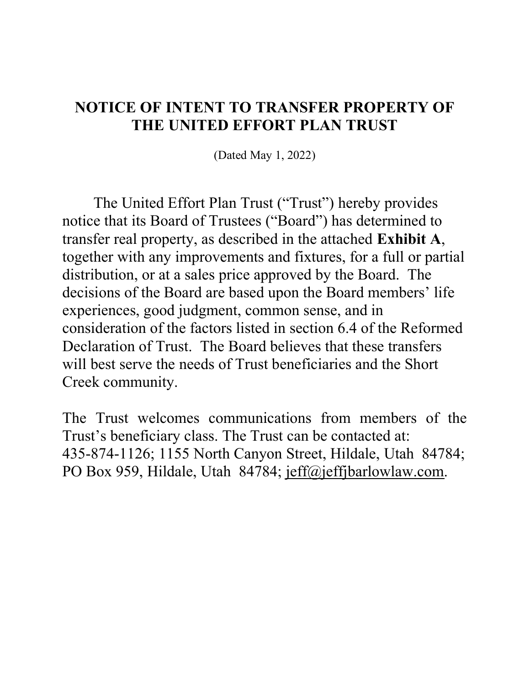## NOTICE OF INTENT TO TRANSFER PROPERTY OF THE UNITED EFFORT PLAN TRUST

(Dated May 1, 2022)

The United Effort Plan Trust ("Trust") hereby provides notice that its Board of Trustees ("Board") has determined to transfer real property, as described in the attached Exhibit A, together with any improvements and fixtures, for a full or partial distribution, or at a sales price approved by the Board. The decisions of the Board are based upon the Board members' life experiences, good judgment, common sense, and in consideration of the factors listed in section 6.4 of the Reformed Declaration of Trust. The Board believes that these transfers will best serve the needs of Trust beneficiaries and the Short Creek community.

The Trust welcomes communications from members of the Trust's beneficiary class. The Trust can be contacted at: 435-874-1126; 1155 North Canyon Street, Hildale, Utah 84784; PO Box 959, Hildale, Utah 84784; jeff@jeffjbarlowlaw.com.